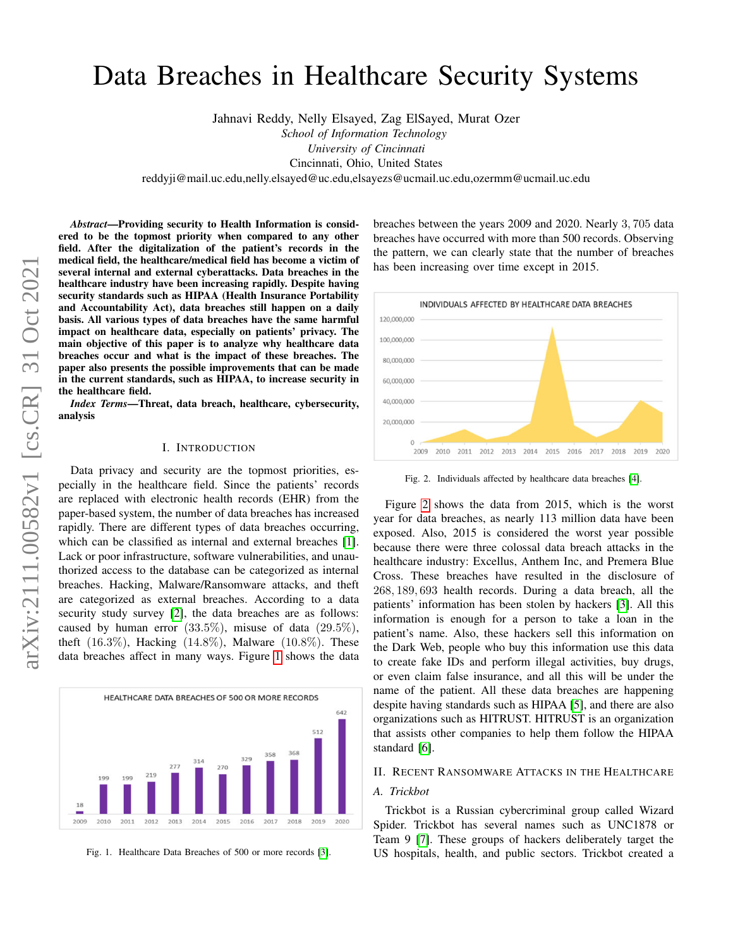# Data Breaches in Healthcare Security Systems

Jahnavi Reddy, Nelly Elsayed, Zag ElSayed, Murat Ozer *School of Information Technology University of Cincinnati*

Cincinnati, Ohio, United States

reddyji@mail.uc.edu,nelly.elsayed@uc.edu,elsayezs@ucmail.uc.edu,ozermm@ucmail.uc.edu

*Abstract*—Providing security to Health Information is considered to be the topmost priority when compared to any other field. After the digitalization of the patient's records in the medical field, the healthcare/medical field has become a victim of several internal and external cyberattacks. Data breaches in the healthcare industry have been increasing rapidly. Despite having security standards such as HIPAA (Health Insurance Portability and Accountability Act), data breaches still happen on a daily basis. All various types of data breaches have the same harmful impact on healthcare data, especially on patients' privacy. The main objective of this paper is to analyze why healthcare data breaches occur and what is the impact of these breaches. The paper also presents the possible improvements that can be made in the current standards, such as HIPAA, to increase security in the healthcare field.

*Index Terms*—Threat, data breach, healthcare, cybersecurity, analysis

#### I. INTRODUCTION

Data privacy and security are the topmost priorities, especially in the healthcare field. Since the patients' records are replaced with electronic health records (EHR) from the paper-based system, the number of data breaches has increased rapidly. There are different types of data breaches occurring, which can be classified as internal and external breaches [\[1\]](#page-5-0). Lack or poor infrastructure, software vulnerabilities, and unauthorized access to the database can be categorized as internal breaches. Hacking, Malware/Ransomware attacks, and theft are categorized as external breaches. According to a data security study survey [\[2\]](#page-5-1), the data breaches are as follows: caused by human error  $(33.5\%)$ , misuse of data  $(29.5\%)$ , theft  $(16.3\%)$ , Hacking  $(14.8\%)$ , Malware  $(10.8\%)$ . These data breaches affect in many ways. Figure [1](#page-0-0) shows the data



<span id="page-0-0"></span>Fig. 1. Healthcare Data Breaches of 500 or more records [\[3\]](#page-5-2).

breaches between the years 2009 and 2020. Nearly 3, 705 data breaches have occurred with more than 500 records. Observing the pattern, we can clearly state that the number of breaches has been increasing over time except in 2015.



<span id="page-0-1"></span>Fig. 2. Individuals affected by healthcare data breaches [\[4\]](#page-5-3).

Figure [2](#page-0-1) shows the data from 2015, which is the worst year for data breaches, as nearly 113 million data have been exposed. Also, 2015 is considered the worst year possible because there were three colossal data breach attacks in the healthcare industry: Excellus, Anthem Inc, and Premera Blue Cross. These breaches have resulted in the disclosure of 268, 189, 693 health records. During a data breach, all the patients' information has been stolen by hackers [\[3\]](#page-5-2). All this information is enough for a person to take a loan in the patient's name. Also, these hackers sell this information on the Dark Web, people who buy this information use this data to create fake IDs and perform illegal activities, buy drugs, or even claim false insurance, and all this will be under the name of the patient. All these data breaches are happening despite having standards such as HIPAA [\[5\]](#page-5-4), and there are also organizations such as HITRUST. HITRUST is an organization that assists other companies to help them follow the HIPAA standard [\[6\]](#page-5-5).

#### II. RECENT RANSOMWARE ATTACKS IN THE HEALTHCARE

# *A. Trickbot*

Trickbot is a Russian cybercriminal group called Wizard Spider. Trickbot has several names such as UNC1878 or Team 9 [\[7\]](#page-5-6). These groups of hackers deliberately target the US hospitals, health, and public sectors. Trickbot created a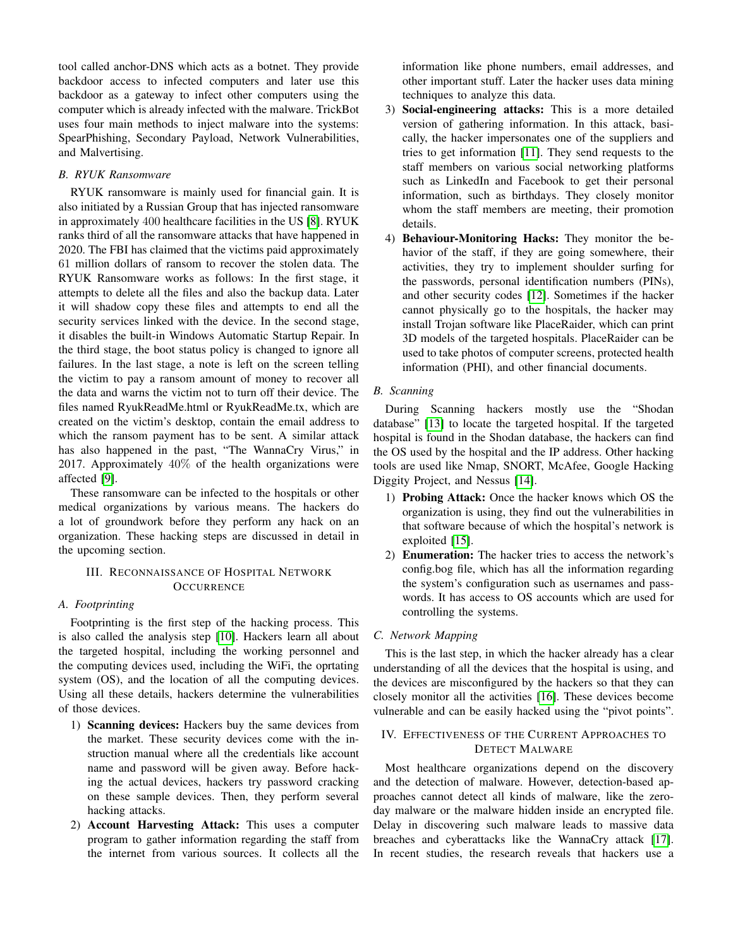tool called anchor-DNS which acts as a botnet. They provide backdoor access to infected computers and later use this backdoor as a gateway to infect other computers using the computer which is already infected with the malware. TrickBot uses four main methods to inject malware into the systems: SpearPhishing, Secondary Payload, Network Vulnerabilities, and Malvertising.

## *B. RYUK Ransomware*

RYUK ransomware is mainly used for financial gain. It is also initiated by a Russian Group that has injected ransomware in approximately 400 healthcare facilities in the US [\[8\]](#page-5-7). RYUK ranks third of all the ransomware attacks that have happened in 2020. The FBI has claimed that the victims paid approximately 61 million dollars of ransom to recover the stolen data. The RYUK Ransomware works as follows: In the first stage, it attempts to delete all the files and also the backup data. Later it will shadow copy these files and attempts to end all the security services linked with the device. In the second stage, it disables the built-in Windows Automatic Startup Repair. In the third stage, the boot status policy is changed to ignore all failures. In the last stage, a note is left on the screen telling the victim to pay a ransom amount of money to recover all the data and warns the victim not to turn off their device. The files named RyukReadMe.html or RyukReadMe.tx, which are created on the victim's desktop, contain the email address to which the ransom payment has to be sent. A similar attack has also happened in the past, "The WannaCry Virus," in 2017. Approximately 40% of the health organizations were affected [\[9\]](#page-5-8).

These ransomware can be infected to the hospitals or other medical organizations by various means. The hackers do a lot of groundwork before they perform any hack on an organization. These hacking steps are discussed in detail in the upcoming section.

# III. RECONNAISSANCE OF HOSPITAL NETWORK **OCCURRENCE**

## *A. Footprinting*

Footprinting is the first step of the hacking process. This is also called the analysis step [\[10\]](#page-5-9). Hackers learn all about the targeted hospital, including the working personnel and the computing devices used, including the WiFi, the oprtating system (OS), and the location of all the computing devices. Using all these details, hackers determine the vulnerabilities of those devices.

- 1) Scanning devices: Hackers buy the same devices from the market. These security devices come with the instruction manual where all the credentials like account name and password will be given away. Before hacking the actual devices, hackers try password cracking on these sample devices. Then, they perform several hacking attacks.
- 2) Account Harvesting Attack: This uses a computer program to gather information regarding the staff from the internet from various sources. It collects all the

information like phone numbers, email addresses, and other important stuff. Later the hacker uses data mining techniques to analyze this data.

- 3) Social-engineering attacks: This is a more detailed version of gathering information. In this attack, basically, the hacker impersonates one of the suppliers and tries to get information [\[11\]](#page-5-10). They send requests to the staff members on various social networking platforms such as LinkedIn and Facebook to get their personal information, such as birthdays. They closely monitor whom the staff members are meeting, their promotion details.
- 4) Behaviour-Monitoring Hacks: They monitor the behavior of the staff, if they are going somewhere, their activities, they try to implement shoulder surfing for the passwords, personal identification numbers (PINs), and other security codes [\[12\]](#page-5-11). Sometimes if the hacker cannot physically go to the hospitals, the hacker may install Trojan software like PlaceRaider, which can print 3D models of the targeted hospitals. PlaceRaider can be used to take photos of computer screens, protected health information (PHI), and other financial documents.
- *B. Scanning*

During Scanning hackers mostly use the "Shodan database" [\[13\]](#page-5-12) to locate the targeted hospital. If the targeted hospital is found in the Shodan database, the hackers can find the OS used by the hospital and the IP address. Other hacking tools are used like Nmap, SNORT, McAfee, Google Hacking Diggity Project, and Nessus [\[14\]](#page-5-13).

- 1) Probing Attack: Once the hacker knows which OS the organization is using, they find out the vulnerabilities in that software because of which the hospital's network is exploited [\[15\]](#page-5-14).
- 2) Enumeration: The hacker tries to access the network's config.bog file, which has all the information regarding the system's configuration such as usernames and passwords. It has access to OS accounts which are used for controlling the systems.

#### *C. Network Mapping*

This is the last step, in which the hacker already has a clear understanding of all the devices that the hospital is using, and the devices are misconfigured by the hackers so that they can closely monitor all the activities [\[16\]](#page-5-15). These devices become vulnerable and can be easily hacked using the "pivot points".

### IV. EFFECTIVENESS OF THE CURRENT APPROACHES TO DETECT MALWARE

Most healthcare organizations depend on the discovery and the detection of malware. However, detection-based approaches cannot detect all kinds of malware, like the zeroday malware or the malware hidden inside an encrypted file. Delay in discovering such malware leads to massive data breaches and cyberattacks like the WannaCry attack [\[17\]](#page-5-16). In recent studies, the research reveals that hackers use a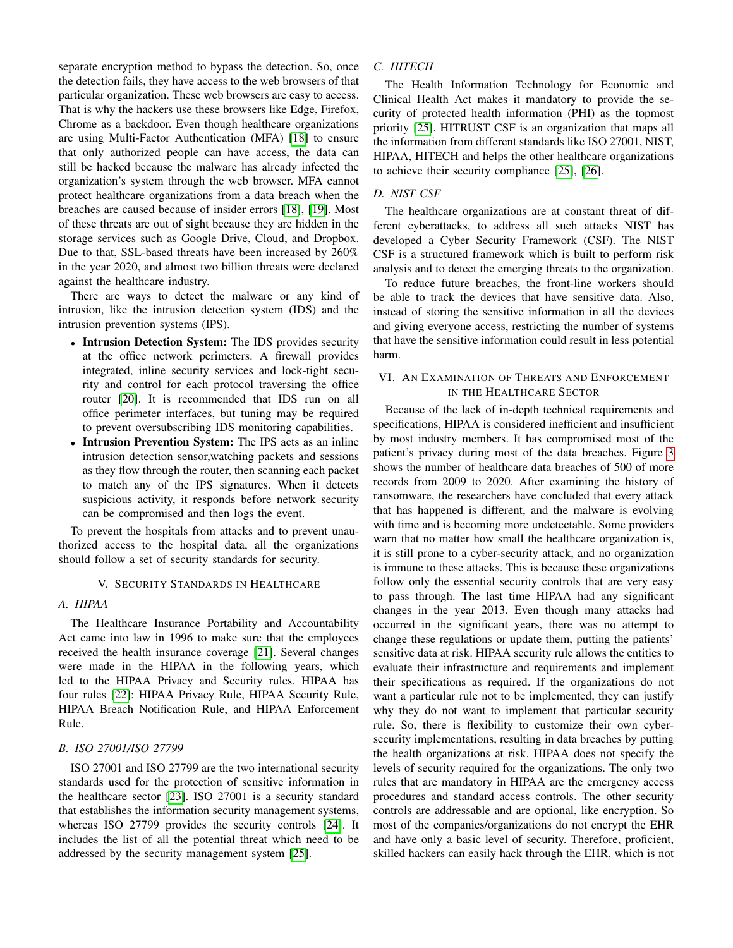separate encryption method to bypass the detection. So, once the detection fails, they have access to the web browsers of that particular organization. These web browsers are easy to access. That is why the hackers use these browsers like Edge, Firefox, Chrome as a backdoor. Even though healthcare organizations are using Multi-Factor Authentication (MFA) [\[18\]](#page-5-17) to ensure that only authorized people can have access, the data can still be hacked because the malware has already infected the organization's system through the web browser. MFA cannot protect healthcare organizations from a data breach when the breaches are caused because of insider errors [\[18\]](#page-5-17), [\[19\]](#page-5-18). Most of these threats are out of sight because they are hidden in the storage services such as Google Drive, Cloud, and Dropbox. Due to that, SSL-based threats have been increased by 260% in the year 2020, and almost two billion threats were declared against the healthcare industry.

There are ways to detect the malware or any kind of intrusion, like the intrusion detection system (IDS) and the intrusion prevention systems (IPS).

- Intrusion Detection System: The IDS provides security at the office network perimeters. A firewall provides integrated, inline security services and lock-tight security and control for each protocol traversing the office router [\[20\]](#page-6-0). It is recommended that IDS run on all office perimeter interfaces, but tuning may be required to prevent oversubscribing IDS monitoring capabilities.
- Intrusion Prevention System: The IPS acts as an inline intrusion detection sensor,watching packets and sessions as they flow through the router, then scanning each packet to match any of the IPS signatures. When it detects suspicious activity, it responds before network security can be compromised and then logs the event.

To prevent the hospitals from attacks and to prevent unauthorized access to the hospital data, all the organizations should follow a set of security standards for security.

#### V. SECURITY STANDARDS IN HEALTHCARE

## *A. HIPAA*

The Healthcare Insurance Portability and Accountability Act came into law in 1996 to make sure that the employees received the health insurance coverage [\[21\]](#page-6-1). Several changes were made in the HIPAA in the following years, which led to the HIPAA Privacy and Security rules. HIPAA has four rules [\[22\]](#page-6-2): HIPAA Privacy Rule, HIPAA Security Rule, HIPAA Breach Notification Rule, and HIPAA Enforcement Rule.

### *B. ISO 27001/ISO 27799*

ISO 27001 and ISO 27799 are the two international security standards used for the protection of sensitive information in the healthcare sector [\[23\]](#page-6-3). ISO 27001 is a security standard that establishes the information security management systems, whereas ISO 27799 provides the security controls [\[24\]](#page-6-4). It includes the list of all the potential threat which need to be addressed by the security management system [\[25\]](#page-6-5).

## *C. HITECH*

The Health Information Technology for Economic and Clinical Health Act makes it mandatory to provide the security of protected health information (PHI) as the topmost priority [\[25\]](#page-6-5). HITRUST CSF is an organization that maps all the information from different standards like ISO 27001, NIST, HIPAA, HITECH and helps the other healthcare organizations to achieve their security compliance [\[25\]](#page-6-5), [\[26\]](#page-6-6).

#### *D. NIST CSF*

The healthcare organizations are at constant threat of different cyberattacks, to address all such attacks NIST has developed a Cyber Security Framework (CSF). The NIST CSF is a structured framework which is built to perform risk analysis and to detect the emerging threats to the organization.

To reduce future breaches, the front-line workers should be able to track the devices that have sensitive data. Also, instead of storing the sensitive information in all the devices and giving everyone access, restricting the number of systems that have the sensitive information could result in less potential harm.

# VI. AN EXAMINATION OF THREATS AND ENFORCEMENT IN THE HEALTHCARE SECTOR

Because of the lack of in-depth technical requirements and specifications, HIPAA is considered inefficient and insufficient by most industry members. It has compromised most of the patient's privacy during most of the data breaches. Figure [3](#page-3-0) shows the number of healthcare data breaches of 500 of more records from 2009 to 2020. After examining the history of ransomware, the researchers have concluded that every attack that has happened is different, and the malware is evolving with time and is becoming more undetectable. Some providers warn that no matter how small the healthcare organization is, it is still prone to a cyber-security attack, and no organization is immune to these attacks. This is because these organizations follow only the essential security controls that are very easy to pass through. The last time HIPAA had any significant changes in the year 2013. Even though many attacks had occurred in the significant years, there was no attempt to change these regulations or update them, putting the patients' sensitive data at risk. HIPAA security rule allows the entities to evaluate their infrastructure and requirements and implement their specifications as required. If the organizations do not want a particular rule not to be implemented, they can justify why they do not want to implement that particular security rule. So, there is flexibility to customize their own cybersecurity implementations, resulting in data breaches by putting the health organizations at risk. HIPAA does not specify the levels of security required for the organizations. The only two rules that are mandatory in HIPAA are the emergency access procedures and standard access controls. The other security controls are addressable and are optional, like encryption. So most of the companies/organizations do not encrypt the EHR and have only a basic level of security. Therefore, proficient, skilled hackers can easily hack through the EHR, which is not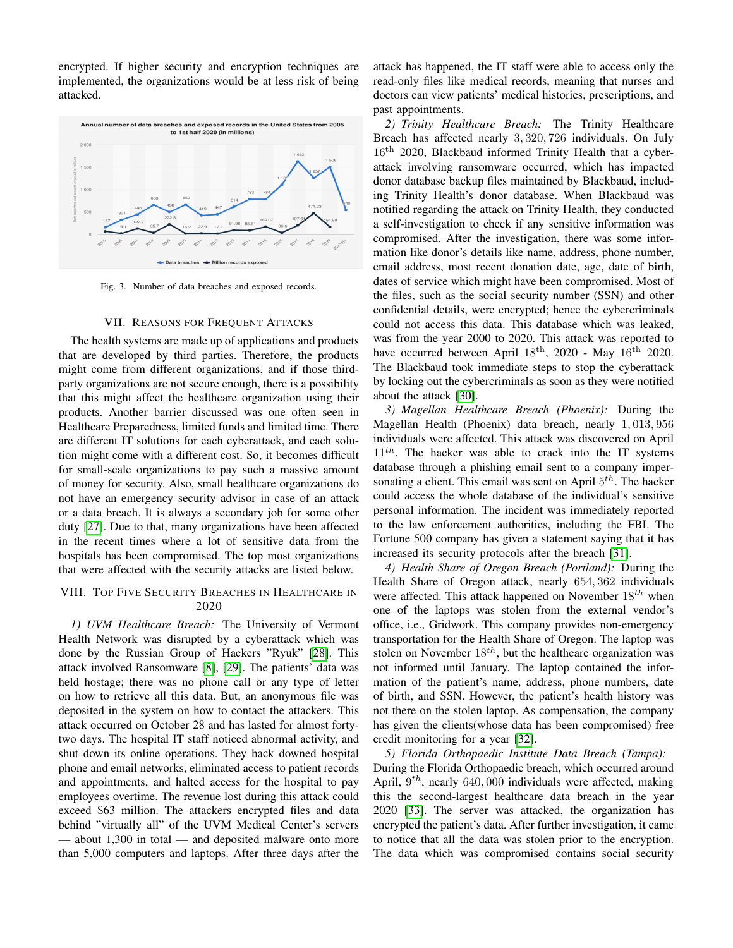encrypted. If higher security and encryption techniques are implemented, the organizations would be at less risk of being attacked.



<span id="page-3-0"></span>Fig. 3. Number of data breaches and exposed records.

#### VII. REASONS FOR FREQUENT ATTACKS

The health systems are made up of applications and products that are developed by third parties. Therefore, the products might come from different organizations, and if those thirdparty organizations are not secure enough, there is a possibility that this might affect the healthcare organization using their products. Another barrier discussed was one often seen in Healthcare Preparedness, limited funds and limited time. There are different IT solutions for each cyberattack, and each solution might come with a different cost. So, it becomes difficult for small-scale organizations to pay such a massive amount of money for security. Also, small healthcare organizations do not have an emergency security advisor in case of an attack or a data breach. It is always a secondary job for some other duty [\[27\]](#page-6-7). Due to that, many organizations have been affected in the recent times where a lot of sensitive data from the hospitals has been compromised. The top most organizations that were affected with the security attacks are listed below.

# VIII. TOP FIVE SECURITY BREACHES IN HEALTHCARE IN 2020

*1) UVM Healthcare Breach:* The University of Vermont Health Network was disrupted by a cyberattack which was done by the Russian Group of Hackers "Ryuk" [\[28\]](#page-6-8). This attack involved Ransomware [\[8\]](#page-5-7), [\[29\]](#page-6-9). The patients' data was held hostage; there was no phone call or any type of letter on how to retrieve all this data. But, an anonymous file was deposited in the system on how to contact the attackers. This attack occurred on October 28 and has lasted for almost fortytwo days. The hospital IT staff noticed abnormal activity, and shut down its online operations. They hack downed hospital phone and email networks, eliminated access to patient records and appointments, and halted access for the hospital to pay employees overtime. The revenue lost during this attack could exceed \$63 million. The attackers encrypted files and data behind "virtually all" of the UVM Medical Center's servers — about 1,300 in total — and deposited malware onto more than 5,000 computers and laptops. After three days after the

attack has happened, the IT staff were able to access only the read-only files like medical records, meaning that nurses and doctors can view patients' medical histories, prescriptions, and past appointments.

*2) Trinity Healthcare Breach:* The Trinity Healthcare Breach has affected nearly 3, 320, 726 individuals. On July 16th 2020, Blackbaud informed Trinity Health that a cyberattack involving ransomware occurred, which has impacted donor database backup files maintained by Blackbaud, including Trinity Health's donor database. When Blackbaud was notified regarding the attack on Trinity Health, they conducted a self-investigation to check if any sensitive information was compromised. After the investigation, there was some information like donor's details like name, address, phone number, email address, most recent donation date, age, date of birth, dates of service which might have been compromised. Most of the files, such as the social security number (SSN) and other confidential details, were encrypted; hence the cybercriminals could not access this data. This database which was leaked, was from the year 2000 to 2020. This attack was reported to have occurred between April  $18<sup>th</sup>$ , 2020 - May  $16<sup>th</sup>$  2020. The Blackbaud took immediate steps to stop the cyberattack by locking out the cybercriminals as soon as they were notified about the attack [\[30\]](#page-6-10).

*3) Magellan Healthcare Breach (Phoenix):* During the Magellan Health (Phoenix) data breach, nearly 1, 013, 956 individuals were affected. This attack was discovered on April  $11<sup>th</sup>$ . The hacker was able to crack into the IT systems database through a phishing email sent to a company impersonating a client. This email was sent on April  $5^{th}$ . The hacker could access the whole database of the individual's sensitive personal information. The incident was immediately reported to the law enforcement authorities, including the FBI. The Fortune 500 company has given a statement saying that it has increased its security protocols after the breach [\[31\]](#page-6-11).

*4) Health Share of Oregon Breach (Portland):* During the Health Share of Oregon attack, nearly 654, 362 individuals were affected. This attack happened on November  $18^{th}$  when one of the laptops was stolen from the external vendor's office, i.e., Gridwork. This company provides non-emergency transportation for the Health Share of Oregon. The laptop was stolen on November  $18^{th}$ , but the healthcare organization was not informed until January. The laptop contained the information of the patient's name, address, phone numbers, date of birth, and SSN. However, the patient's health history was not there on the stolen laptop. As compensation, the company has given the clients(whose data has been compromised) free credit monitoring for a year [\[32\]](#page-6-12).

*5) Florida Orthopaedic Institute Data Breach (Tampa):* During the Florida Orthopaedic breach, which occurred around April,  $9^{th}$ , nearly 640, 000 individuals were affected, making this the second-largest healthcare data breach in the year 2020 [\[33\]](#page-6-13). The server was attacked, the organization has encrypted the patient's data. After further investigation, it came to notice that all the data was stolen prior to the encryption. The data which was compromised contains social security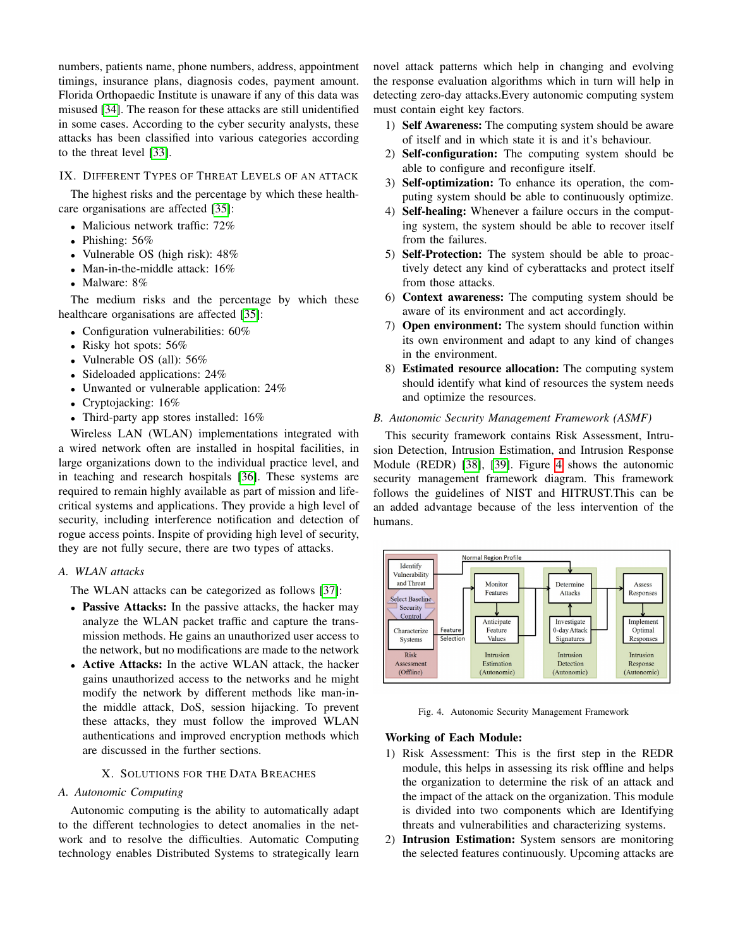numbers, patients name, phone numbers, address, appointment timings, insurance plans, diagnosis codes, payment amount. Florida Orthopaedic Institute is unaware if any of this data was misused [\[34\]](#page-6-14). The reason for these attacks are still unidentified in some cases. According to the cyber security analysts, these attacks has been classified into various categories according to the threat level [\[33\]](#page-6-13).

#### IX. DIFFERENT TYPES OF THREAT LEVELS OF AN ATTACK

The highest risks and the percentage by which these healthcare organisations are affected [\[35\]](#page-6-15):

- Malicious network traffic: 72%
- Phishing:  $56%$
- Vulnerable OS (high risk): 48%
- Man-in-the-middle attack: 16%
- Malware: 8%

The medium risks and the percentage by which these healthcare organisations are affected [\[35\]](#page-6-15):

- Configuration vulnerabilities: 60%
- Risky hot spots: 56%
- Vulnerable OS (all): 56%
- Sideloaded applications: 24%
- Unwanted or vulnerable application: 24%
- Cryptojacking: 16%
- Third-party app stores installed: 16%

Wireless LAN (WLAN) implementations integrated with a wired network often are installed in hospital facilities, in large organizations down to the individual practice level, and in teaching and research hospitals [\[36\]](#page-6-16). These systems are required to remain highly available as part of mission and lifecritical systems and applications. They provide a high level of security, including interference notification and detection of rogue access points. Inspite of providing high level of security, they are not fully secure, there are two types of attacks.

## *A. WLAN attacks*

The WLAN attacks can be categorized as follows [\[37\]](#page-6-17):

- Passive Attacks: In the passive attacks, the hacker may analyze the WLAN packet traffic and capture the transmission methods. He gains an unauthorized user access to the network, but no modifications are made to the network
- Active Attacks: In the active WLAN attack, the hacker gains unauthorized access to the networks and he might modify the network by different methods like man-inthe middle attack, DoS, session hijacking. To prevent these attacks, they must follow the improved WLAN authentications and improved encryption methods which are discussed in the further sections.

# X. SOLUTIONS FOR THE DATA BREACHES

#### *A. Autonomic Computing*

Autonomic computing is the ability to automatically adapt to the different technologies to detect anomalies in the network and to resolve the difficulties. Automatic Computing technology enables Distributed Systems to strategically learn

novel attack patterns which help in changing and evolving the response evaluation algorithms which in turn will help in detecting zero-day attacks.Every autonomic computing system must contain eight key factors.

- 1) Self Awareness: The computing system should be aware of itself and in which state it is and it's behaviour.
- 2) Self-configuration: The computing system should be able to configure and reconfigure itself.
- 3) Self-optimization: To enhance its operation, the computing system should be able to continuously optimize.
- 4) Self-healing: Whenever a failure occurs in the computing system, the system should be able to recover itself from the failures.
- 5) Self-Protection: The system should be able to proactively detect any kind of cyberattacks and protect itself from those attacks.
- 6) Context awareness: The computing system should be aware of its environment and act accordingly.
- 7) Open environment: The system should function within its own environment and adapt to any kind of changes in the environment.
- 8) Estimated resource allocation: The computing system should identify what kind of resources the system needs and optimize the resources.

## *B. Autonomic Security Management Framework (ASMF)*

This security framework contains Risk Assessment, Intrusion Detection, Intrusion Estimation, and Intrusion Response Module (REDR) [\[38\]](#page-6-18), [\[39\]](#page-6-19). Figure [4](#page-4-0) shows the autonomic security management framework diagram. This framework follows the guidelines of NIST and HITRUST.This can be an added advantage because of the less intervention of the humans.



<span id="page-4-0"></span>Fig. 4. Autonomic Security Management Framework

## Working of Each Module:

- 1) Risk Assessment: This is the first step in the REDR module, this helps in assessing its risk offline and helps the organization to determine the risk of an attack and the impact of the attack on the organization. This module is divided into two components which are Identifying threats and vulnerabilities and characterizing systems.
- 2) Intrusion Estimation: System sensors are monitoring the selected features continuously. Upcoming attacks are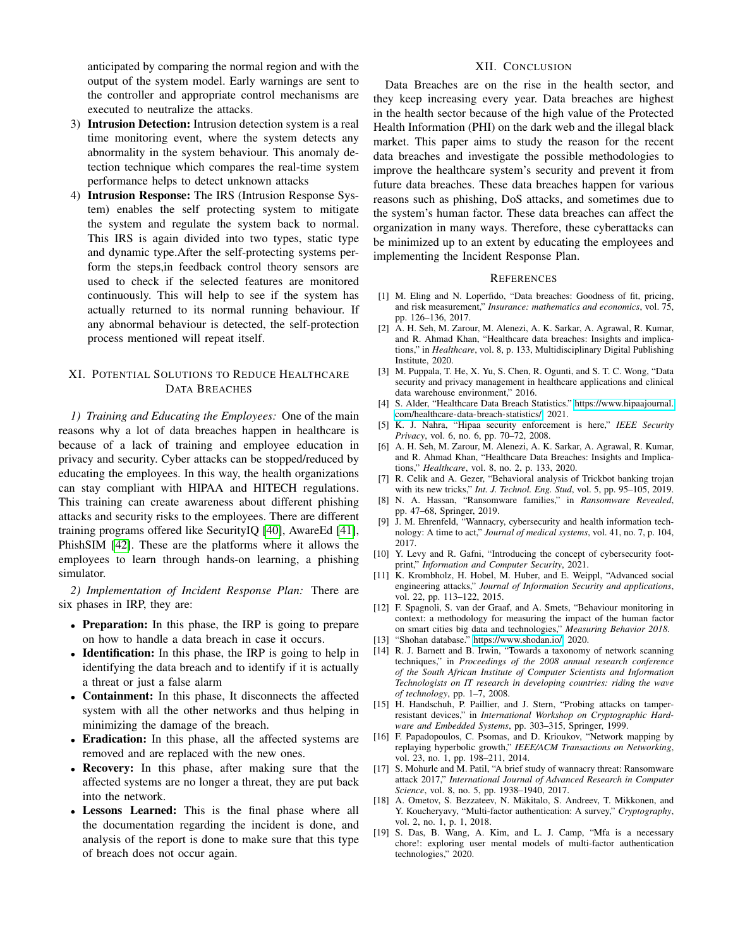anticipated by comparing the normal region and with the output of the system model. Early warnings are sent to the controller and appropriate control mechanisms are executed to neutralize the attacks.

- 3) Intrusion Detection: Intrusion detection system is a real time monitoring event, where the system detects any abnormality in the system behaviour. This anomaly detection technique which compares the real-time system performance helps to detect unknown attacks
- 4) Intrusion Response: The IRS (Intrusion Response System) enables the self protecting system to mitigate the system and regulate the system back to normal. This IRS is again divided into two types, static type and dynamic type.After the self-protecting systems perform the steps,in feedback control theory sensors are used to check if the selected features are monitored continuously. This will help to see if the system has actually returned to its normal running behaviour. If any abnormal behaviour is detected, the self-protection process mentioned will repeat itself.

# XI. POTENTIAL SOLUTIONS TO REDUCE HEALTHCARE DATA BREACHES

*1) Training and Educating the Employees:* One of the main reasons why a lot of data breaches happen in healthcare is because of a lack of training and employee education in privacy and security. Cyber attacks can be stopped/reduced by educating the employees. In this way, the health organizations can stay compliant with HIPAA and HITECH regulations. This training can create awareness about different phishing attacks and security risks to the employees. There are different training programs offered like SecurityIQ [\[40\]](#page-6-20), AwareEd [\[41\]](#page-6-21), PhishSIM [\[42\]](#page-6-22). These are the platforms where it allows the employees to learn through hands-on learning, a phishing simulator.

*2) Implementation of Incident Response Plan:* There are six phases in IRP, they are:

- Preparation: In this phase, the IRP is going to prepare on how to handle a data breach in case it occurs.
- **Identification:** In this phase, the IRP is going to help in identifying the data breach and to identify if it is actually a threat or just a false alarm
- Containment: In this phase, It disconnects the affected system with all the other networks and thus helping in minimizing the damage of the breach.
- Eradication: In this phase, all the affected systems are removed and are replaced with the new ones.
- Recovery: In this phase, after making sure that the affected systems are no longer a threat, they are put back into the network.
- Lessons Learned: This is the final phase where all the documentation regarding the incident is done, and analysis of the report is done to make sure that this type of breach does not occur again.

#### XII. CONCLUSION

Data Breaches are on the rise in the health sector, and they keep increasing every year. Data breaches are highest in the health sector because of the high value of the Protected Health Information (PHI) on the dark web and the illegal black market. This paper aims to study the reason for the recent data breaches and investigate the possible methodologies to improve the healthcare system's security and prevent it from future data breaches. These data breaches happen for various reasons such as phishing, DoS attacks, and sometimes due to the system's human factor. These data breaches can affect the organization in many ways. Therefore, these cyberattacks can be minimized up to an extent by educating the employees and implementing the Incident Response Plan.

#### **REFERENCES**

- <span id="page-5-0"></span>[1] M. Eling and N. Loperfido, "Data breaches: Goodness of fit, pricing, and risk measurement," *Insurance: mathematics and economics*, vol. 75, pp. 126–136, 2017.
- <span id="page-5-1"></span>[2] A. H. Seh, M. Zarour, M. Alenezi, A. K. Sarkar, A. Agrawal, R. Kumar, and R. Ahmad Khan, "Healthcare data breaches: Insights and implications," in *Healthcare*, vol. 8, p. 133, Multidisciplinary Digital Publishing Institute, 2020.
- <span id="page-5-2"></span>[3] M. Puppala, T. He, X. Yu, S. Chen, R. Ogunti, and S. T. C. Wong, "Data security and privacy management in healthcare applications and clinical data warehouse environment," 2016.
- <span id="page-5-3"></span>[4] S. Alder, "Healthcare Data Breach Statistics." [https://www.hipaajournal.](https://www.hipaajournal.com/healthcare-data-breach-statistics/) [com/healthcare-data-breach-statistics/,](https://www.hipaajournal.com/healthcare-data-breach-statistics/) 2021.
- <span id="page-5-4"></span>[5] K. J. Nahra, "Hipaa security enforcement is here," *IEEE Security Privacy*, vol. 6, no. 6, pp. 70–72, 2008.
- <span id="page-5-5"></span>[6] A. H. Seh, M. Zarour, M. Alenezi, A. K. Sarkar, A. Agrawal, R. Kumar, and R. Ahmad Khan, "Healthcare Data Breaches: Insights and Implications," *Healthcare*, vol. 8, no. 2, p. 133, 2020.
- <span id="page-5-6"></span>[7] R. Celik and A. Gezer, "Behavioral analysis of Trickbot banking trojan with its new tricks," *Int. J. Technol. Eng. Stud*, vol. 5, pp. 95–105, 2019.
- <span id="page-5-7"></span>[8] N. A. Hassan, "Ransomware families," in *Ransomware Revealed*, pp. 47–68, Springer, 2019.
- <span id="page-5-8"></span>[9] J. M. Ehrenfeld, "Wannacry, cybersecurity and health information technology: A time to act," *Journal of medical systems*, vol. 41, no. 7, p. 104, 2017.
- <span id="page-5-9"></span>[10] Y. Levy and R. Gafni, "Introducing the concept of cybersecurity footprint," *Information and Computer Security*, 2021.
- <span id="page-5-10"></span>[11] K. Krombholz, H. Hobel, M. Huber, and E. Weippl, "Advanced social engineering attacks," *Journal of Information Security and applications*, vol. 22, pp. 113–122, 2015.
- <span id="page-5-11"></span>[12] F. Spagnoli, S. van der Graaf, and A. Smets, "Behaviour monitoring in context: a methodology for measuring the impact of the human factor on smart cities big data and technologies," *Measuring Behavior 2018*.
- <span id="page-5-12"></span>[13] "Shohan database." [https://www.shodan.io/,](https://www.shodan.io/) 2020.
- <span id="page-5-13"></span>[14] R. J. Barnett and B. Irwin, "Towards a taxonomy of network scanning techniques," in *Proceedings of the 2008 annual research conference of the South African Institute of Computer Scientists and Information Technologists on IT research in developing countries: riding the wave of technology*, pp. 1–7, 2008.
- <span id="page-5-14"></span>[15] H. Handschuh, P. Paillier, and J. Stern, "Probing attacks on tamperresistant devices," in *International Workshop on Cryptographic Hardware and Embedded Systems*, pp. 303–315, Springer, 1999.
- <span id="page-5-15"></span>[16] F. Papadopoulos, C. Psomas, and D. Krioukov, "Network mapping by replaying hyperbolic growth," *IEEE/ACM Transactions on Networking*, vol. 23, no. 1, pp. 198–211, 2014.
- <span id="page-5-16"></span>[17] S. Mohurle and M. Patil, "A brief study of wannacry threat: Ransomware attack 2017," *International Journal of Advanced Research in Computer Science*, vol. 8, no. 5, pp. 1938–1940, 2017.
- <span id="page-5-17"></span>[18] A. Ometov, S. Bezzateev, N. Mäkitalo, S. Andreev, T. Mikkonen, and Y. Koucheryavy, "Multi-factor authentication: A survey," *Cryptography*, vol. 2, no. 1, p. 1, 2018.
- <span id="page-5-18"></span>[19] S. Das, B. Wang, A. Kim, and L. J. Camp, "Mfa is a necessary chore!: exploring user mental models of multi-factor authentication technologies," 2020.